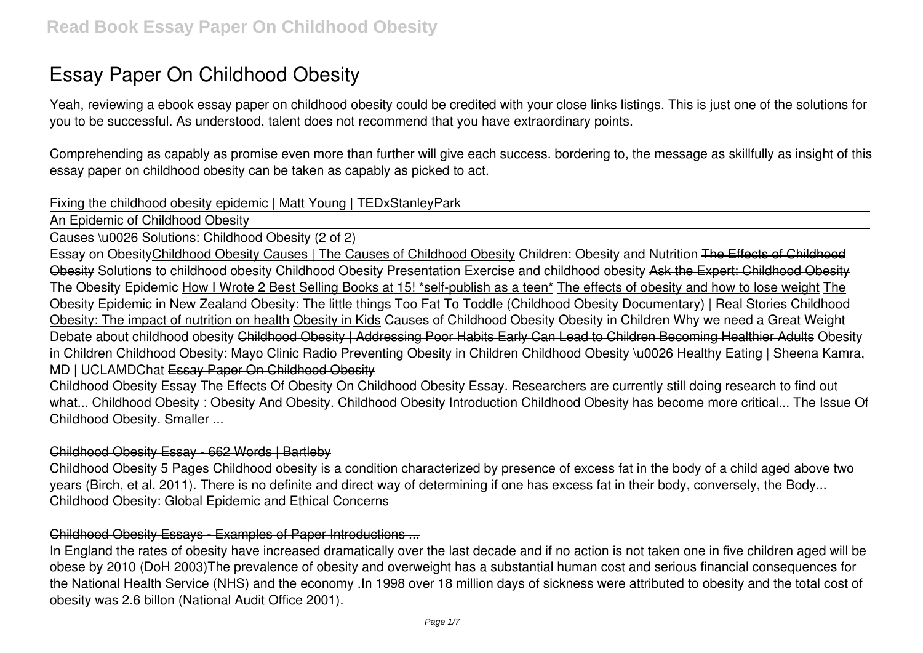# **Essay Paper On Childhood Obesity**

Yeah, reviewing a ebook **essay paper on childhood obesity** could be credited with your close links listings. This is just one of the solutions for you to be successful. As understood, talent does not recommend that you have extraordinary points.

Comprehending as capably as promise even more than further will give each success. bordering to, the message as skillfully as insight of this essay paper on childhood obesity can be taken as capably as picked to act.

#### **Fixing the childhood obesity epidemic | Matt Young | TEDxStanleyPark**

An Epidemic of Childhood Obesity

Causes \u0026 Solutions: Childhood Obesity (2 of 2)

Essay on ObesityChildhood Obesity Causes | The Causes of Childhood Obesity **Children: Obesity and Nutrition** The Effects of Childhood Obesity *Solutions to childhood obesity* Childhood Obesity Presentation **Exercise and childhood obesity** Ask the Expert: Childhood Obesity The Obesity Epidemic How I Wrote 2 Best Selling Books at 15! \*self-publish as a teen\* The effects of obesity and how to lose weight The Obesity Epidemic in New Zealand Obesity: The little things Too Fat To Toddle (Childhood Obesity Documentary) | Real Stories Childhood Obesity: The impact of nutrition on health Obesity in Kids *Causes of Childhood Obesity* Obesity in Children *Why we need a Great Weight Debate about childhood obesity* Childhood Obesity | Addressing Poor Habits Early Can Lead to Children Becoming Healthier Adults **Obesity in Children** Childhood Obesity: Mayo Clinic Radio *Preventing Obesity in Children* Childhood Obesity \u0026 Healthy Eating | Sheena Kamra, MD | UCLAMDChat Essay Paper On Childhood Obesity

Childhood Obesity Essay The Effects Of Obesity On Childhood Obesity Essay. Researchers are currently still doing research to find out what... Childhood Obesity : Obesity And Obesity. Childhood Obesity Introduction Childhood Obesity has become more critical... The Issue Of Childhood Obesity. Smaller ...

#### Childhood Obesity Essay - 662 Words | Bartleby

Childhood Obesity 5 Pages Childhood obesity is a condition characterized by presence of excess fat in the body of a child aged above two years (Birch, et al, 2011). There is no definite and direct way of determining if one has excess fat in their body, conversely, the Body... Childhood Obesity: Global Epidemic and Ethical Concerns

### Childhood Obesity Essays - Examples of Paper Introductions ...

In England the rates of obesity have increased dramatically over the last decade and if no action is not taken one in five children aged will be obese by 2010 (DoH 2003)The prevalence of obesity and overweight has a substantial human cost and serious financial consequences for the National Health Service (NHS) and the economy .In 1998 over 18 million days of sickness were attributed to obesity and the total cost of obesity was 2.6 billon (National Audit Office 2001).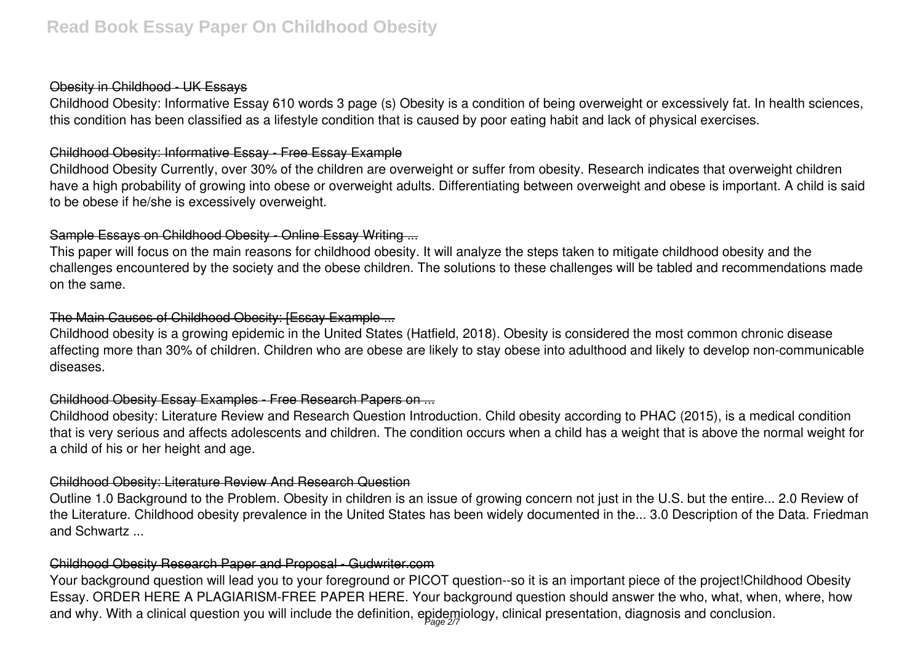### Obesity in Childhood - UK Essays

Childhood Obesity: Informative Essay 610 words 3 page (s) Obesity is a condition of being overweight or excessively fat. In health sciences, this condition has been classified as a lifestyle condition that is caused by poor eating habit and lack of physical exercises.

## Childhood Obesity: Informative Essay - Free Essay Example

Childhood Obesity Currently, over 30% of the children are overweight or suffer from obesity. Research indicates that overweight children have a high probability of growing into obese or overweight adults. Differentiating between overweight and obese is important. A child is said to be obese if he/she is excessively overweight.

# Sample Essays on Childhood Obesity - Online Essay Writing ...

This paper will focus on the main reasons for childhood obesity. It will analyze the steps taken to mitigate childhood obesity and the challenges encountered by the society and the obese children. The solutions to these challenges will be tabled and recommendations made on the same.

# The Main Causes of Childhood Obesity: [Essay Example ...

Childhood obesity is a growing epidemic in the United States (Hatfield, 2018). Obesity is considered the most common chronic disease affecting more than 30% of children. Children who are obese are likely to stay obese into adulthood and likely to develop non-communicable diseases.

# Childhood Obesity Essay Examples - Free Research Papers on ...

Childhood obesity: Literature Review and Research Question Introduction. Child obesity according to PHAC (2015), is a medical condition that is very serious and affects adolescents and children. The condition occurs when a child has a weight that is above the normal weight for a child of his or her height and age.

# Childhood Obesity: Literature Review And Research Question

Outline 1.0 Background to the Problem. Obesity in children is an issue of growing concern not just in the U.S. but the entire... 2.0 Review of the Literature. Childhood obesity prevalence in the United States has been widely documented in the... 3.0 Description of the Data. Friedman and Schwartz ...

# Childhood Obesity Research Paper and Proposal - Gudwriter.com

Your background question will lead you to your foreground or PICOT question--so it is an important piece of the project!Childhood Obesity Essay. ORDER HERE A PLAGIARISM-FREE PAPER HERE. Your background question should answer the who, what, when, where, how and why. With a clinical question you will include the definition, epidemiology, clinical presentation, diagnosis and conclusion.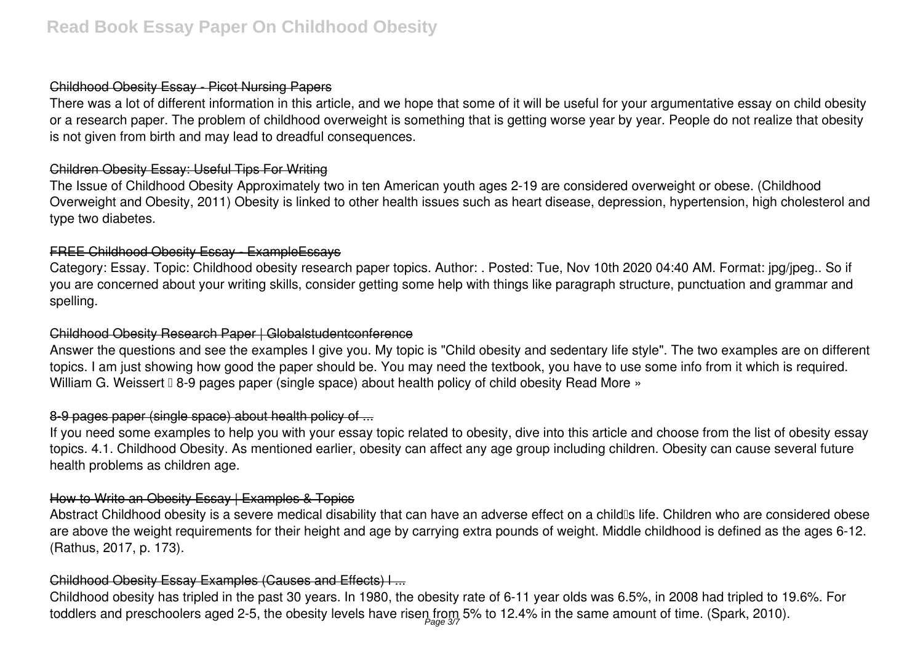# Childhood Obesity Essay - Picot Nursing Papers

There was a lot of different information in this article, and we hope that some of it will be useful for your argumentative essay on child obesity or a research paper. The problem of childhood overweight is something that is getting worse year by year. People do not realize that obesity is not given from birth and may lead to dreadful consequences.

### Children Obesity Essay: Useful Tips For Writing

The Issue of Childhood Obesity Approximately two in ten American youth ages 2-19 are considered overweight or obese. (Childhood Overweight and Obesity, 2011) Obesity is linked to other health issues such as heart disease, depression, hypertension, high cholesterol and type two diabetes.

# FREE Childhood Obesity Essay - ExampleEssays

Category: Essay. Topic: Childhood obesity research paper topics. Author: . Posted: Tue, Nov 10th 2020 04:40 AM. Format: jpg/jpeg.. So if you are concerned about your writing skills, consider getting some help with things like paragraph structure, punctuation and grammar and spelling.

### Childhood Obesity Research Paper | Globalstudentconference

Answer the questions and see the examples I give you. My topic is "Child obesity and sedentary life style". The two examples are on different topics. I am just showing how good the paper should be. You may need the textbook, you have to use some info from it which is required. William G. Weissert II 8-9 pages paper (single space) about health policy of child obesity Read More »

# 8-9 pages paper (single space) about health policy of ...

If you need some examples to help you with your essay topic related to obesity, dive into this article and choose from the list of obesity essay topics. 4.1. Childhood Obesity. As mentioned earlier, obesity can affect any age group including children. Obesity can cause several future health problems as children age.

# How to Write an Obesity Essay | Examples & Topics

Abstract Childhood obesity is a severe medical disability that can have an adverse effect on a child<sup>®</sup>s life. Children who are considered obese are above the weight requirements for their height and age by carrying extra pounds of weight. Middle childhood is defined as the ages 6-12. (Rathus, 2017, p. 173).

# Childhood Obesity Essay Examples (Causes and Effects) l ...

Childhood obesity has tripled in the past 30 years. In 1980, the obesity rate of 6-11 year olds was 6.5%, in 2008 had tripled to 19.6%. For toddlers and preschoolers aged 2-5, the obesity levels have risen from 5% to 12.4% in the same amount of time. (Spark, 2010).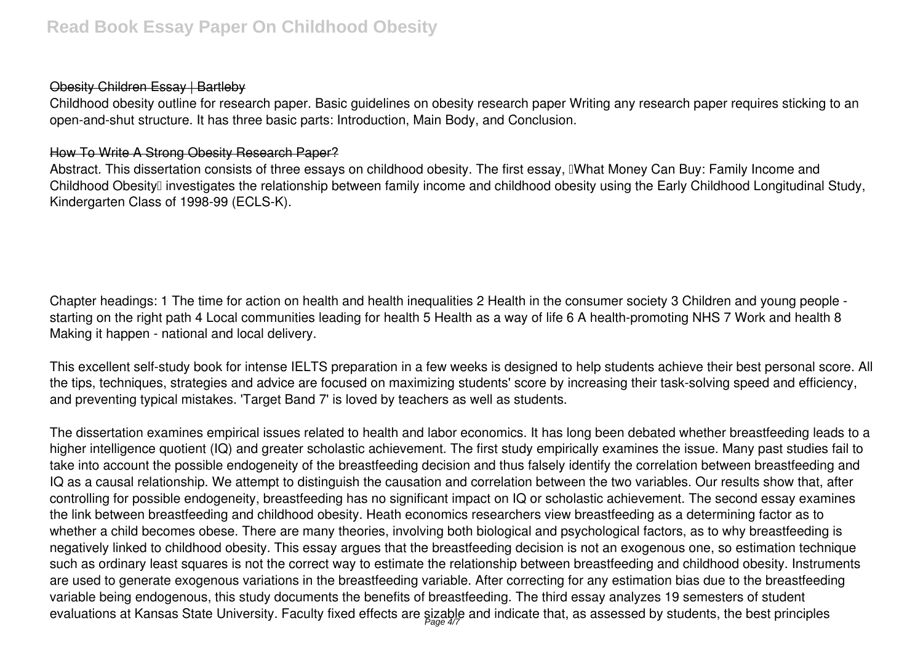# Obesity Children Essay | Bartleby

Childhood obesity outline for research paper. Basic guidelines on obesity research paper Writing any research paper requires sticking to an open-and-shut structure. It has three basic parts: Introduction, Main Body, and Conclusion.

#### How To Write A Strong Obesity Research Paper?

Abstract. This dissertation consists of three essays on childhood obesity. The first essay, IWhat Money Can Buy: Family Income and Childhood Obesity<sup>[]</sup> investigates the relationship between family income and childhood obesity using the Early Childhood Longitudinal Study, Kindergarten Class of 1998-99 (ECLS-K).

Chapter headings: 1 The time for action on health and health inequalities 2 Health in the consumer society 3 Children and young people starting on the right path 4 Local communities leading for health 5 Health as a way of life 6 A health-promoting NHS 7 Work and health 8 Making it happen - national and local delivery.

This excellent self-study book for intense IELTS preparation in a few weeks is designed to help students achieve their best personal score. All the tips, techniques, strategies and advice are focused on maximizing students' score by increasing their task-solving speed and efficiency, and preventing typical mistakes. 'Target Band 7' is loved by teachers as well as students.

The dissertation examines empirical issues related to health and labor economics. It has long been debated whether breastfeeding leads to a higher intelligence quotient (IQ) and greater scholastic achievement. The first study empirically examines the issue. Many past studies fail to take into account the possible endogeneity of the breastfeeding decision and thus falsely identify the correlation between breastfeeding and IQ as a causal relationship. We attempt to distinguish the causation and correlation between the two variables. Our results show that, after controlling for possible endogeneity, breastfeeding has no significant impact on IQ or scholastic achievement. The second essay examines the link between breastfeeding and childhood obesity. Heath economics researchers view breastfeeding as a determining factor as to whether a child becomes obese. There are many theories, involving both biological and psychological factors, as to why breastfeeding is negatively linked to childhood obesity. This essay argues that the breastfeeding decision is not an exogenous one, so estimation technique such as ordinary least squares is not the correct way to estimate the relationship between breastfeeding and childhood obesity. Instruments are used to generate exogenous variations in the breastfeeding variable. After correcting for any estimation bias due to the breastfeeding variable being endogenous, this study documents the benefits of breastfeeding. The third essay analyzes 19 semesters of student evaluations at Kansas State University. Faculty fixed effects are sizable and indicate that, as assessed by students, the best principles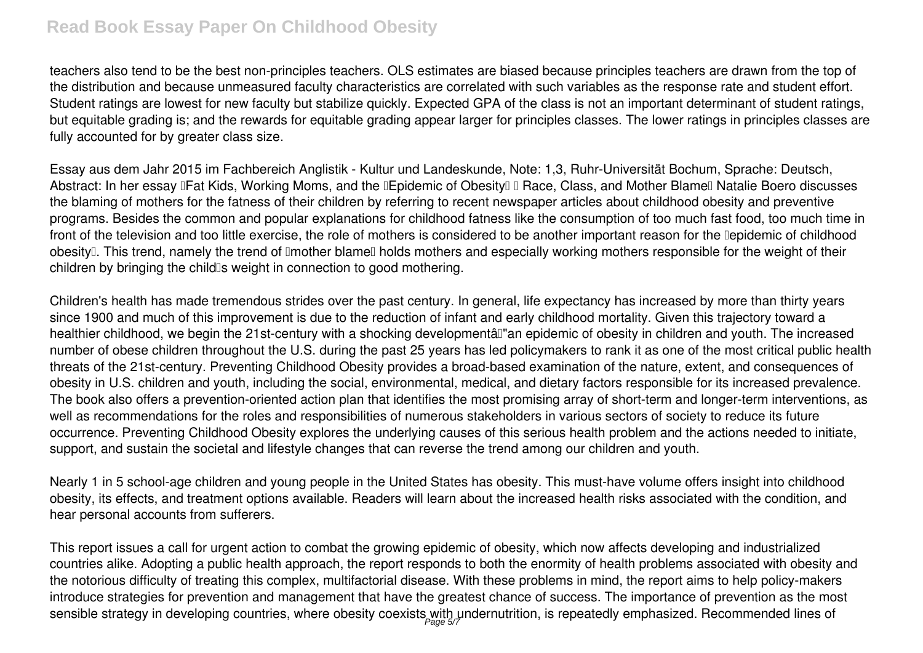# **Read Book Essay Paper On Childhood Obesity**

teachers also tend to be the best non-principles teachers. OLS estimates are biased because principles teachers are drawn from the top of the distribution and because unmeasured faculty characteristics are correlated with such variables as the response rate and student effort. Student ratings are lowest for new faculty but stabilize quickly. Expected GPA of the class is not an important determinant of student ratings, but equitable grading is; and the rewards for equitable grading appear larger for principles classes. The lower ratings in principles classes are fully accounted for by greater class size.

Essay aus dem Jahr 2015 im Fachbereich Anglistik - Kultur und Landeskunde, Note: 1,3, Ruhr-Universität Bochum, Sprache: Deutsch, Abstract: In her essay IFat Kids, Working Moms, and the IEpidemic of Obesity I Race, Class, and Mother Blame Natalie Boero discusses the blaming of mothers for the fatness of their children by referring to recent newspaper articles about childhood obesity and preventive programs. Besides the common and popular explanations for childhood fatness like the consumption of too much fast food, too much time in front of the television and too little exercise, the role of mothers is considered to be another important reason for the Depidemic of childhood obesity<sup>[]</sup>. This trend, namely the trend of **Imother blame** holds mothers and especially working mothers responsible for the weight of their children by bringing the child's weight in connection to good mothering.

Children's health has made tremendous strides over the past century. In general, life expectancy has increased by more than thirty years since 1900 and much of this improvement is due to the reduction of infant and early childhood mortality. Given this trajectory toward a healthier childhood, we begin the 21st-century with a shocking developmentâl"an epidemic of obesity in children and youth. The increased number of obese children throughout the U.S. during the past 25 years has led policymakers to rank it as one of the most critical public health threats of the 21st-century. Preventing Childhood Obesity provides a broad-based examination of the nature, extent, and consequences of obesity in U.S. children and youth, including the social, environmental, medical, and dietary factors responsible for its increased prevalence. The book also offers a prevention-oriented action plan that identifies the most promising array of short-term and longer-term interventions, as well as recommendations for the roles and responsibilities of numerous stakeholders in various sectors of society to reduce its future occurrence. Preventing Childhood Obesity explores the underlying causes of this serious health problem and the actions needed to initiate, support, and sustain the societal and lifestyle changes that can reverse the trend among our children and youth.

Nearly 1 in 5 school-age children and young people in the United States has obesity. This must-have volume offers insight into childhood obesity, its effects, and treatment options available. Readers will learn about the increased health risks associated with the condition, and hear personal accounts from sufferers.

This report issues a call for urgent action to combat the growing epidemic of obesity, which now affects developing and industrialized countries alike. Adopting a public health approach, the report responds to both the enormity of health problems associated with obesity and the notorious difficulty of treating this complex, multifactorial disease. With these problems in mind, the report aims to help policy-makers introduce strategies for prevention and management that have the greatest chance of success. The importance of prevention as the most sensible strategy in developing countries, where obesity coexists with undernutrition, is repeatedly emphasized. Recommended lines of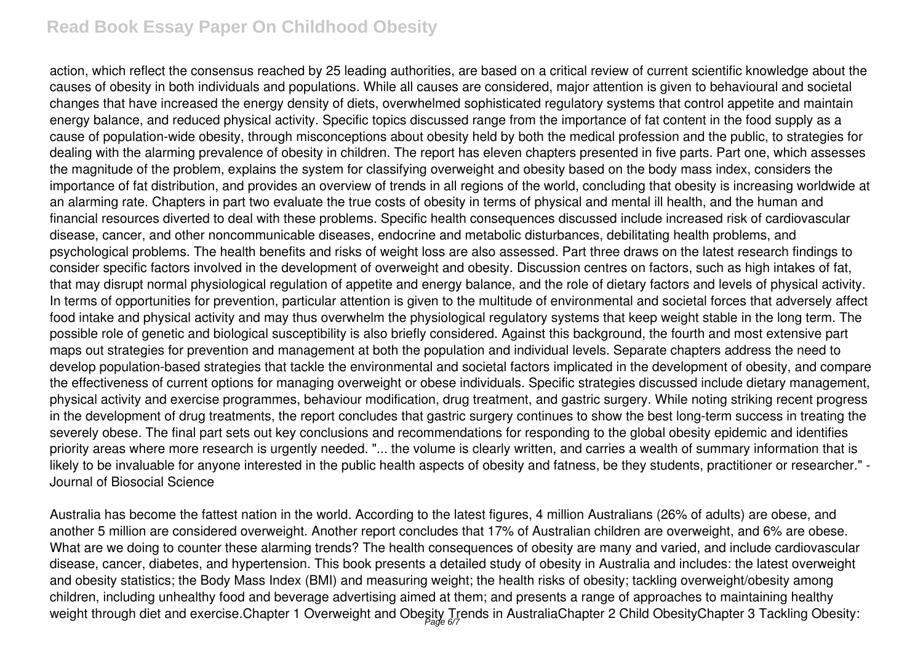# **Read Book Essay Paper On Childhood Obesity**

action, which reflect the consensus reached by 25 leading authorities, are based on a critical review of current scientific knowledge about the causes of obesity in both individuals and populations. While all causes are considered, major attention is given to behavioural and societal changes that have increased the energy density of diets, overwhelmed sophisticated regulatory systems that control appetite and maintain energy balance, and reduced physical activity. Specific topics discussed range from the importance of fat content in the food supply as a cause of population-wide obesity, through misconceptions about obesity held by both the medical profession and the public, to strategies for dealing with the alarming prevalence of obesity in children. The report has eleven chapters presented in five parts. Part one, which assesses the magnitude of the problem, explains the system for classifying overweight and obesity based on the body mass index, considers the importance of fat distribution, and provides an overview of trends in all regions of the world, concluding that obesity is increasing worldwide at an alarming rate. Chapters in part two evaluate the true costs of obesity in terms of physical and mental ill health, and the human and financial resources diverted to deal with these problems. Specific health consequences discussed include increased risk of cardiovascular disease, cancer, and other noncommunicable diseases, endocrine and metabolic disturbances, debilitating health problems, and psychological problems. The health benefits and risks of weight loss are also assessed. Part three draws on the latest research findings to consider specific factors involved in the development of overweight and obesity. Discussion centres on factors, such as high intakes of fat, that may disrupt normal physiological regulation of appetite and energy balance, and the role of dietary factors and levels of physical activity. In terms of opportunities for prevention, particular attention is given to the multitude of environmental and societal forces that adversely affect food intake and physical activity and may thus overwhelm the physiological regulatory systems that keep weight stable in the long term. The possible role of genetic and biological susceptibility is also briefly considered. Against this background, the fourth and most extensive part maps out strategies for prevention and management at both the population and individual levels. Separate chapters address the need to develop population-based strategies that tackle the environmental and societal factors implicated in the development of obesity, and compare the effectiveness of current options for managing overweight or obese individuals. Specific strategies discussed include dietary management, physical activity and exercise programmes, behaviour modification, drug treatment, and gastric surgery. While noting striking recent progress in the development of drug treatments, the report concludes that gastric surgery continues to show the best long-term success in treating the severely obese. The final part sets out key conclusions and recommendations for responding to the global obesity epidemic and identifies priority areas where more research is urgently needed. "... the volume is clearly written, and carries a wealth of summary information that is likely to be invaluable for anyone interested in the public health aspects of obesity and fatness, be they students, practitioner or researcher." -Journal of Biosocial Science

Australia has become the fattest nation in the world. According to the latest figures, 4 million Australians (26% of adults) are obese, and another 5 million are considered overweight. Another report concludes that 17% of Australian children are overweight, and 6% are obese. What are we doing to counter these alarming trends? The health consequences of obesity are many and varied, and include cardiovascular disease, cancer, diabetes, and hypertension. This book presents a detailed study of obesity in Australia and includes: the latest overweight and obesity statistics; the Body Mass Index (BMI) and measuring weight; the health risks of obesity; tackling overweight/obesity among children, including unhealthy food and beverage advertising aimed at them; and presents a range of approaches to maintaining healthy weight through diet and exercise.Chapter 1 Overweight and Obesity Trends in AustraliaChapter 2 Child ObesityChapter 3 Tackling Obesity: